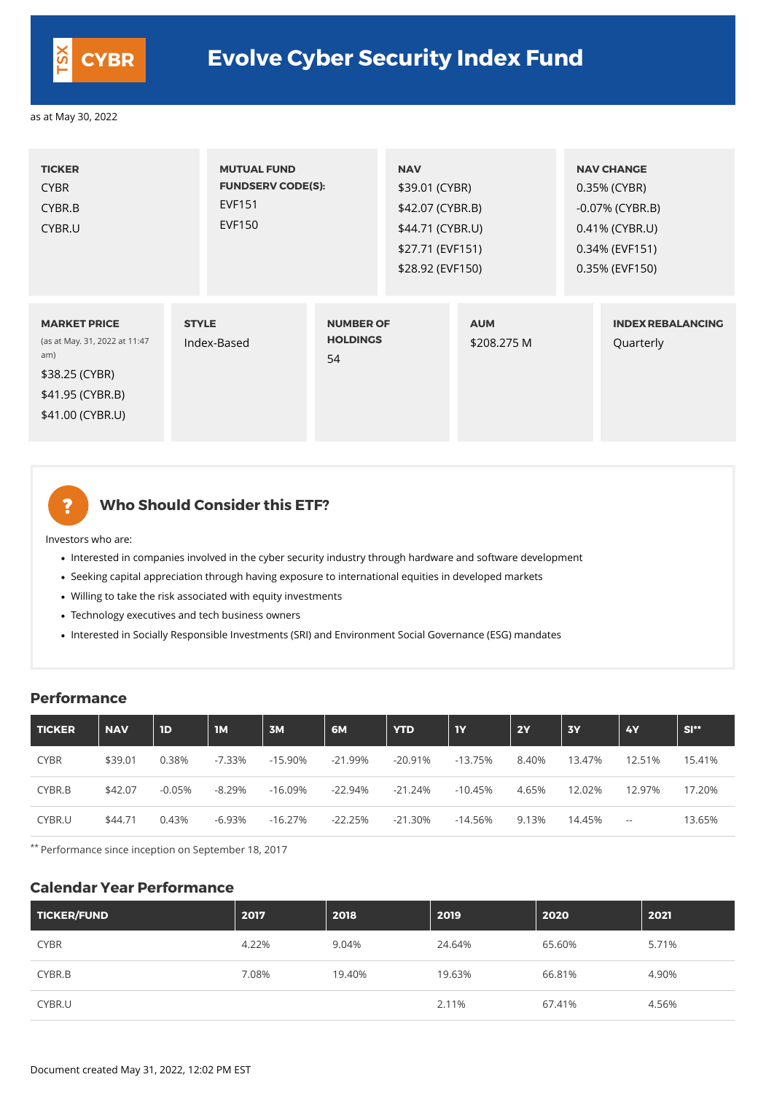| <b>TICKER</b><br><b>CYBR</b><br>CYBR.B<br>CYBR.U                                                                      | <b>MUTUAL FUND</b><br><b>EVF151</b><br><b>EVF150</b> | <b>FUNDSERV CODE(S):</b>                  |  | <b>NAV</b><br>\$39.01 (CYBR)<br>\$42.07 (CYBR.B)<br>\$44.71 (CYBR.U)<br>\$27.71 (EVF151)<br>\$28.92 (EVF150) |  | <b>NAV CHANGE</b><br>0.35% (CYBR)<br>-0.07% (CYBR.B)<br>0.41% (CYBR.U)<br>0.34% (EVF151)<br>0.35% (EVF150) |  |
|-----------------------------------------------------------------------------------------------------------------------|------------------------------------------------------|-------------------------------------------|--|--------------------------------------------------------------------------------------------------------------|--|------------------------------------------------------------------------------------------------------------|--|
| <b>MARKET PRICE</b><br>(as at May. 31, 2022 at 11:47<br>am)<br>\$38.25 (CYBR)<br>\$41.95 (CYBR.B)<br>\$41.00 (CYBR.U) | <b>STYLE</b><br>Index-Based                          | <b>NUMBER OF</b><br><b>HOLDINGS</b><br>54 |  | <b>AUM</b><br>\$208.275 M                                                                                    |  | <b>INDEX REBALANCING</b><br>Quarterly                                                                      |  |

?

#### **Who Should Consider this ETF?**

- Interested in companies involved in the cyber security industry through hardware and software development
- Seeking capital appreciation through having exposure to international equities in developed markets
- Willing to take the risk associated with equity investments
- Technology executives and tech business owners
- Interested in Socially Responsible Investments (SRI) and Environment Social Governance (ESG) mandates

Investors who are:

#### **Performance**

| <b>TICKER</b> | <b>NAV</b> | 1D       | <b>IM</b> | 3M         | 6M         | <b>YTD</b> | <b>TY</b>  | <b>2Y</b> | <b>3Y</b> | 4Y                                            | $SI**$ |
|---------------|------------|----------|-----------|------------|------------|------------|------------|-----------|-----------|-----------------------------------------------|--------|
| <b>CYBR</b>   | \$39.01    | 0.38%    | $-7.33\%$ | $-15.90\%$ | $-21.99\%$ | $-20.91\%$ | $-13.75%$  | 8.40%     | 13.47%    | 12.51%                                        | 15.41% |
| CYBR.B        | \$42.07    | $-0.05%$ | $-8.29\%$ | $-16.09\%$ | $-22.94%$  | $-21.24%$  | $-10.45\%$ | 4.65%     | 12.02%    | 12.97%                                        | 17.20% |
| CYBR.U        | \$44.71    | 0.43%    | $-6.93%$  | $-16.27%$  | $-22.25%$  | $-21.30%$  | $-14.56\%$ | 9.13%     | 14.45%    | $\mathord{\hspace{1pt}\text{--}\hspace{1pt}}$ | 13.65% |

\*\* Performance since inception on September 18, 2017

#### **Calendar Year Performance**

| <b>TICKER/FUND</b> | 2017  | 2018   | 2019   | 2020   | 2021  |
|--------------------|-------|--------|--------|--------|-------|
| <b>CYBR</b>        | 4.22% | 9.04%  | 24.64% | 65.60% | 5.71% |
| CYBR.B             | 7.08% | 19.40% | 19.63% | 66.81% | 4.90% |
| CYBR.U             |       |        | 2.11%  | 67.41% | 4.56% |

Document created May 31, 2022, 12:02 PM EST



## **CYBR Evolve Cyber Security Index Fund**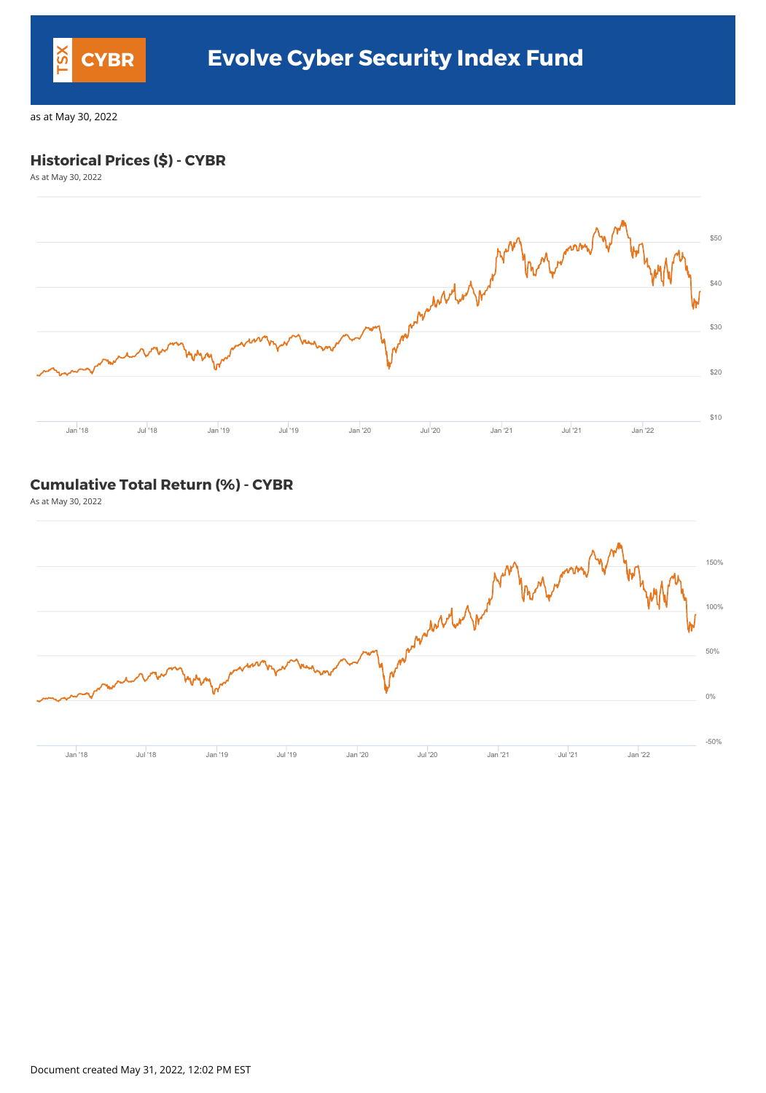#### **Historical Prices (\$) - CYBR**

As at May 30, 2022



#### **Cumulative Total Return (%) - CYBR**

As at May 30, 2022



Document created May 31, 2022, 12:02 PM EST



## **CYBR Evolve Cyber Security Index Fund**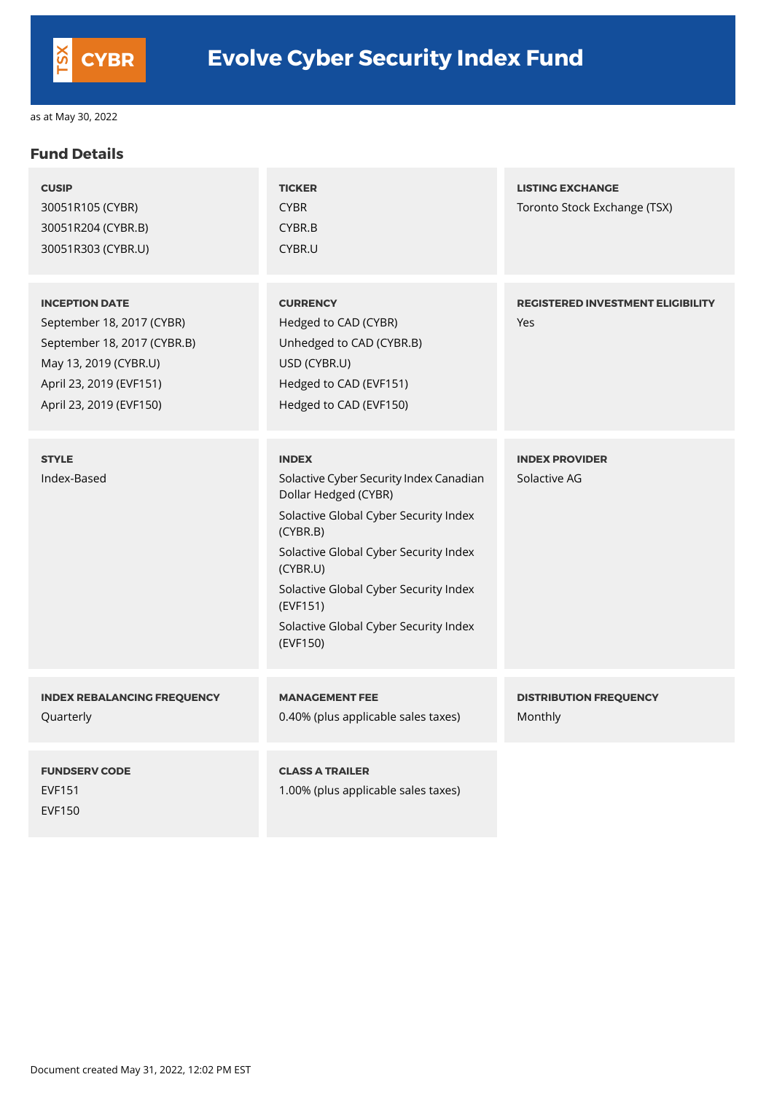## **Fund Details**

| <b>CUSIP</b><br>30051R105 (CYBR)<br>30051R204 (CYBR.B)<br>30051R303 (CYBR.U)                                                                                     | <b>TICKER</b><br><b>CYBR</b><br>CYBR.B<br>CYBR.U                                                                                                                                                                                                                                                    | <b>LISTING EXCHANGE</b><br>Toronto Stock Exchange (TSX) |
|------------------------------------------------------------------------------------------------------------------------------------------------------------------|-----------------------------------------------------------------------------------------------------------------------------------------------------------------------------------------------------------------------------------------------------------------------------------------------------|---------------------------------------------------------|
| <b>INCEPTION DATE</b><br>September 18, 2017 (CYBR)<br>September 18, 2017 (CYBR.B)<br>May 13, 2019 (CYBR.U)<br>April 23, 2019 (EVF151)<br>April 23, 2019 (EVF150) | <b>CURRENCY</b><br>Hedged to CAD (CYBR)<br>Unhedged to CAD (CYBR.B)<br>USD (CYBR.U)<br>Hedged to CAD (EVF151)<br>Hedged to CAD (EVF150)                                                                                                                                                             | <b>REGISTERED INVESTMENT ELIGIBILITY</b><br>Yes         |
| <b>STYLE</b><br>Index-Based                                                                                                                                      | <b>INDEX</b><br>Solactive Cyber Security Index Canadian<br>Dollar Hedged (CYBR)<br>Solactive Global Cyber Security Index<br>(CYBR.B)<br>Solactive Global Cyber Security Index<br>(CYBR.U)<br>Solactive Global Cyber Security Index<br>(EVF151)<br>Solactive Global Cyber Security Index<br>(EVF150) | <b>INDEX PROVIDER</b><br>Solactive AG                   |
| <b>INDEX REBALANCING FREQUENCY</b><br>Quarterly                                                                                                                  | <b>MANAGEMENT FEE</b><br>0.40% (plus applicable sales taxes)                                                                                                                                                                                                                                        | <b>DISTRIBUTION FREQUENCY</b><br>Monthly                |

| <b>FUNDSERV CODE</b> | <b>CLASS A TRAILER</b>              |
|----------------------|-------------------------------------|
| <b>EVF151</b>        | 1.00% (plus applicable sales taxes) |
| <b>EVF150</b>        |                                     |
|                      |                                     |

Document created May 31, 2022, 12:02 PM EST

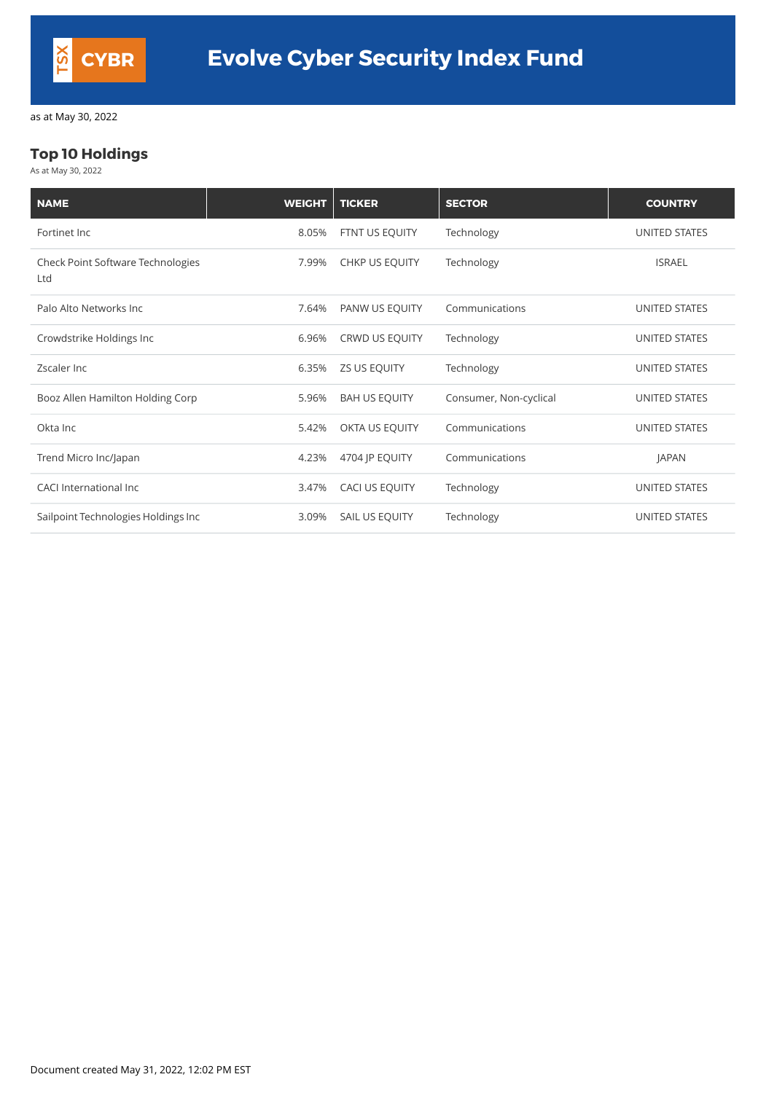### **Top 10 Holdings**

As at May 30, 2022

| <b>NAME</b>                                     | <b>WEIGHT</b> | <b>TICKER</b>        | <b>SECTOR</b>          | <b>COUNTRY</b>       |
|-------------------------------------------------|---------------|----------------------|------------------------|----------------------|
| Fortinet Inc                                    | 8.05%         | FTNT US EQUITY       | Technology             | UNITED STATES        |
| <b>Check Point Software Technologies</b><br>Ltd | 7.99%         | CHKP US EQUITY       | Technology             | <b>ISRAEL</b>        |
| Palo Alto Networks Inc                          | 7.64%         | PANW US EQUITY       | Communications         | UNITED STATES        |
| Crowdstrike Holdings Inc                        | 6.96%         | CRWD US EQUITY       | Technology             | <b>UNITED STATES</b> |
| Zscaler Inc                                     | 6.35%         | <b>ZS US EQUITY</b>  | Technology             | UNITED STATES        |
| Booz Allen Hamilton Holding Corp                | 5.96%         | <b>BAH US EQUITY</b> | Consumer, Non-cyclical | UNITED STATES        |
| Okta Inc                                        | 5.42%         | OKTA US EQUITY       | Communications         | UNITED STATES        |
| Trend Micro Inc/Japan                           | 4.23%         | 4704 JP EQUITY       | Communications         | <b>JAPAN</b>         |
| <b>CACI International Inc.</b>                  | 3.47%         | CACI US EQUITY       | Technology             | UNITED STATES        |
| Sailpoint Technologies Holdings Inc             | 3.09%         | SAIL US EQUITY       | Technology             | UNITED STATES        |

Document created May 31, 2022, 12:02 PM EST

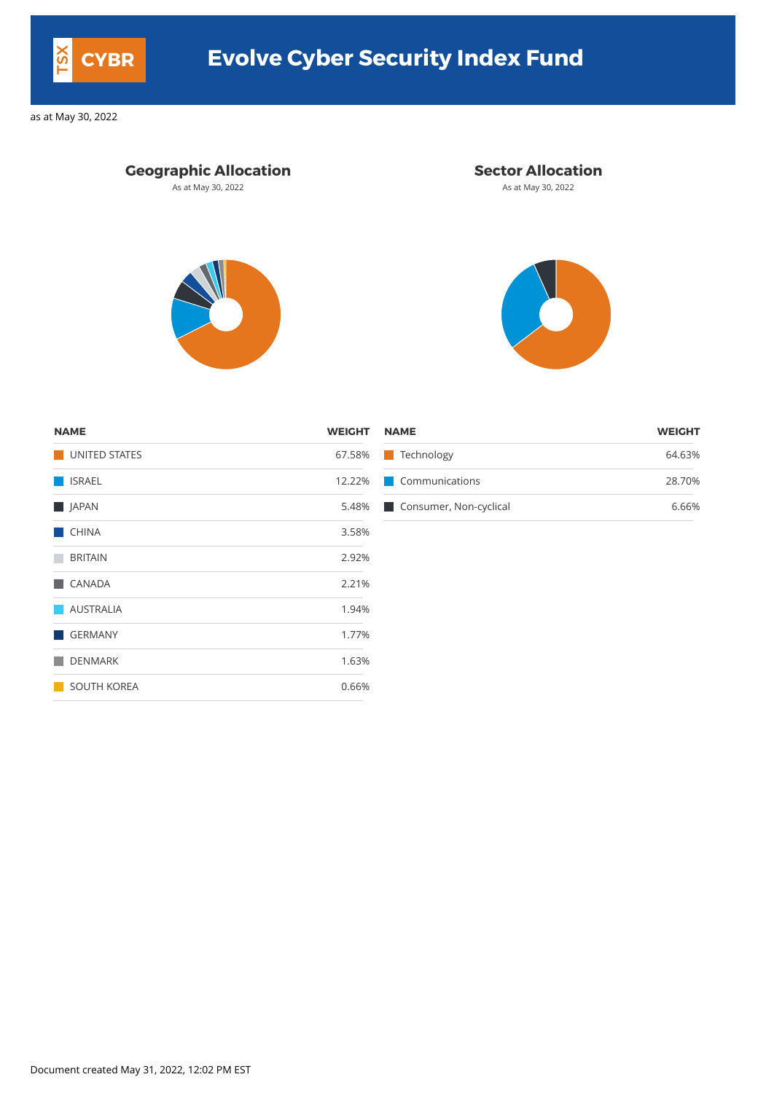#### **Geographic Allocation Sector Allocation**

As at May 30, 2022 **As at May 30, 2022** As at May 30, 2022





| <b>NAME</b>   | <b>WEIGHT NAME</b> |                              | <b>WEIGHT</b> |
|---------------|--------------------|------------------------------|---------------|
| UNITED STATES |                    | 67.58% Technology            | 64.63%        |
| <b>ISRAEL</b> |                    | 12.22% Communications        | 28.70%        |
| <b>JAPAN</b>  |                    | 5.48% Consumer, Non-cyclical | 6.66%         |

| <b>NAME</b>          | <b>WEIGHT</b> |
|----------------------|---------------|
| <b>UNITED STATES</b> | 67.58%        |
| <b>ISRAEL</b>        | 12.22%        |
| JAPAN                | 5.48%         |
| <b>CHINA</b>         | 3.58%         |
| <b>BRITAIN</b>       | 2.92%         |
| <b>CANADA</b>        | 2.21%         |
| <b>AUSTRALIA</b>     | 1.94%         |
| <b>GERMANY</b>       | 1.77%         |
| <b>DENMARK</b>       | 1.63%         |
| <b>SOUTH KOREA</b>   | 0.66%         |

Document created May 31, 2022, 12:02 PM EST



# **CYBR Evolve Cyber Security Index Fund**